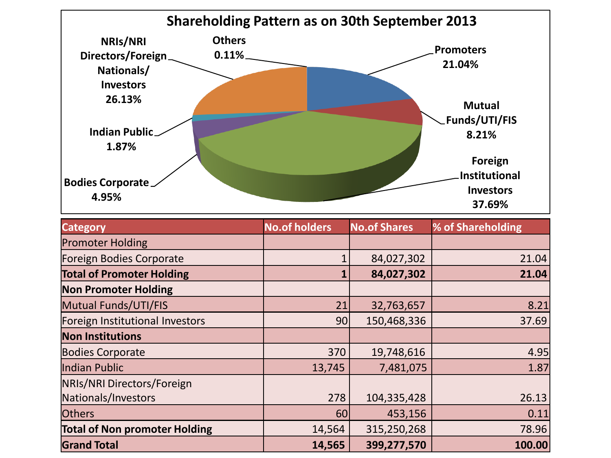

| <b>Category</b>                      | <b>No.of holders</b> | <b>No.of Shares</b> | % of Shareholding |
|--------------------------------------|----------------------|---------------------|-------------------|
| <b>Promoter Holding</b>              |                      |                     |                   |
| Foreign Bodies Corporate             |                      | 84,027,302          | 21.04             |
| <b>Total of Promoter Holding</b>     |                      | 84,027,302          | 21.04             |
| <b>Non Promoter Holding</b>          |                      |                     |                   |
| Mutual Funds/UTI/FIS                 | 21                   | 32,763,657          | 8.21              |
| Foreign Institutional Investors      | 90                   | 150,468,336         | 37.69             |
| <b>Non Institutions</b>              |                      |                     |                   |
| <b>Bodies Corporate</b>              | 370                  | 19,748,616          | 4.95              |
| Indian Public                        | 13,745               | 7,481,075           | 1.87              |
| NRIs/NRI Directors/Foreign           |                      |                     |                   |
| Nationals/Investors                  | 278                  | 104,335,428         | 26.13             |
| <b>Others</b>                        | 60                   | 453,156             | 0.11              |
| <b>Total of Non promoter Holding</b> | 14,564               | 315,250,268         | 78.96             |
| <b>Grand Total</b>                   | 14,565               | 399,277,570         | 100.00            |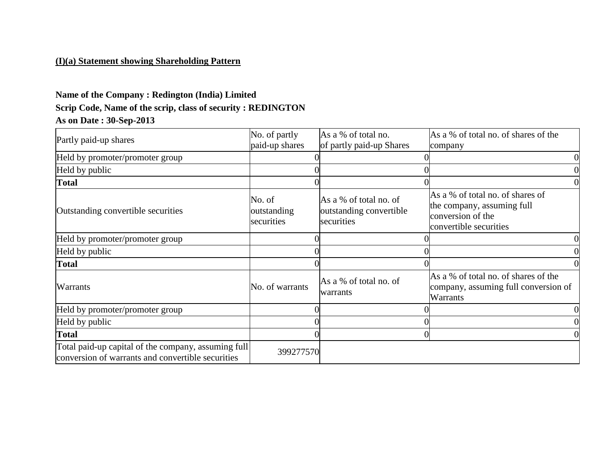## **(I)(a) Statement showing Shareholding Pattern**

# **Name of the Company : Redington (India) Limited Scrip Code, Name of the scrip, class of security : REDINGTON As on Date : 30-Sep-2013**

| Partly paid-up shares                                                                                    | No. of partly<br>paid-up shares     | As a % of total no.<br>of partly paid-up Shares                 | As a % of total no. of shares of the<br>company                                                               |
|----------------------------------------------------------------------------------------------------------|-------------------------------------|-----------------------------------------------------------------|---------------------------------------------------------------------------------------------------------------|
| Held by promoter/promoter group                                                                          |                                     |                                                                 |                                                                                                               |
| Held by public                                                                                           |                                     |                                                                 |                                                                                                               |
| <b>Total</b>                                                                                             |                                     |                                                                 |                                                                                                               |
| Outstanding convertible securities                                                                       | No. of<br>outstanding<br>securities | As a % of total no. of<br>outstanding convertible<br>securities | As a % of total no. of shares of<br>the company, assuming full<br>conversion of the<br>convertible securities |
| Held by promoter/promoter group                                                                          |                                     |                                                                 |                                                                                                               |
| Held by public                                                                                           |                                     |                                                                 |                                                                                                               |
| <b>Total</b>                                                                                             |                                     |                                                                 |                                                                                                               |
| Warrants                                                                                                 | No. of warrants                     | As a % of total no. of<br> warrants                             | As a % of total no. of shares of the<br>company, assuming full conversion of<br>Warrants                      |
| Held by promoter/promoter group                                                                          |                                     |                                                                 |                                                                                                               |
| Held by public                                                                                           |                                     |                                                                 |                                                                                                               |
| <b>Total</b>                                                                                             |                                     |                                                                 |                                                                                                               |
| Total paid-up capital of the company, assuming full<br>conversion of warrants and convertible securities | 399277570                           |                                                                 |                                                                                                               |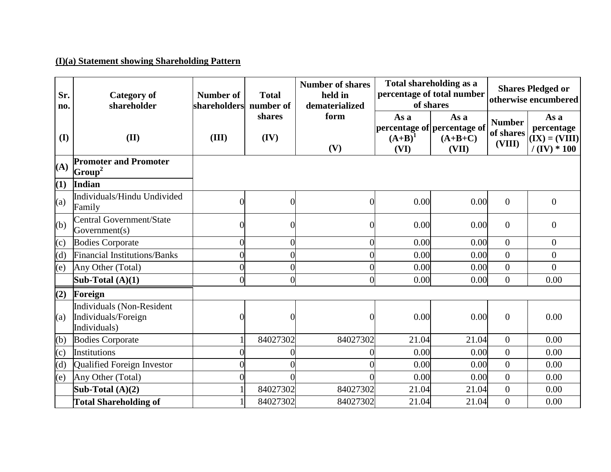## **(I)(a) Statement showing Shareholding Pattern**

| Sr.<br>no. | Category of<br>shareholder                                       | Number of<br>shareholders | <b>Total</b><br>number of | <b>Number of shares</b><br>held in<br>dematerialized | Total shareholding as a<br>percentage of total number<br>of shares |                                                           | <b>Shares Pledged or</b><br>otherwise encumbered |                                                        |  |
|------------|------------------------------------------------------------------|---------------------------|---------------------------|------------------------------------------------------|--------------------------------------------------------------------|-----------------------------------------------------------|--------------------------------------------------|--------------------------------------------------------|--|
| (I)        | (II)                                                             | (III)                     | shares<br>(IV)            | form<br>(V)                                          | As a<br>$(A+B)^1$<br>(VI)                                          | As a<br>percentage of percentage of<br>$(A+B+C)$<br>(VII) | <b>Number</b><br>of shares<br>(VIII)             | As a<br>percentage<br>$(IX) = (VIII)$<br>$/(IV) * 100$ |  |
| (A)        | <b>Promoter and Promoter</b><br>$ Group^2 $                      |                           |                           |                                                      |                                                                    |                                                           |                                                  |                                                        |  |
| (1)        | Indian                                                           |                           |                           |                                                      |                                                                    |                                                           |                                                  |                                                        |  |
| (a)        | Individuals/Hindu Undivided<br>Family                            | $\bigcap$                 | $\Omega$                  | 0                                                    | 0.00                                                               | 0.00                                                      | $\overline{0}$                                   | $\overline{0}$                                         |  |
| (b)        | <b>Central Government/State</b><br>Government(s)                 | C                         | $\Omega$                  |                                                      | 0.00                                                               | 0.00                                                      | $\overline{0}$                                   | $\overline{0}$                                         |  |
| (c)        | <b>Bodies Corporate</b>                                          | $\sqrt{ }$                |                           |                                                      | 0.00                                                               | 0.00                                                      | $\overline{0}$                                   | $\overline{0}$                                         |  |
| (d)        | <b>Financial Institutions/Banks</b>                              | $\sqrt{ }$                | 0                         |                                                      | 0.00                                                               | 0.00                                                      | $\boldsymbol{0}$                                 | $\overline{0}$                                         |  |
| (e)        | Any Other (Total)                                                | $\theta$                  | $\theta$                  |                                                      | 0.00                                                               | 0.00                                                      | $\boldsymbol{0}$                                 | $\Omega$                                               |  |
|            | Sub-Total $(A)(1)$                                               | $\overline{0}$            | $\overline{0}$            | $\overline{0}$                                       | 0.00                                                               | 0.00                                                      | $\overline{0}$                                   | 0.00                                                   |  |
| (2)        | Foreign                                                          |                           |                           |                                                      |                                                                    |                                                           |                                                  |                                                        |  |
| (a)        | Individuals (Non-Resident<br>Individuals/Foreign<br>Individuals) |                           | $\Omega$                  |                                                      | 0.00                                                               | 0.00                                                      | $\overline{0}$                                   | 0.00                                                   |  |
| (b)        | <b>Bodies Corporate</b>                                          |                           | 84027302                  | 84027302                                             | 21.04                                                              | 21.04                                                     | $\overline{0}$                                   | 0.00                                                   |  |
| (c)        | Institutions                                                     |                           |                           |                                                      | 0.00                                                               | 0.00                                                      | $\boldsymbol{0}$                                 | 0.00                                                   |  |
| (d)        | Qualified Foreign Investor                                       | $\sqrt{ }$                |                           |                                                      | 0.00                                                               | 0.00                                                      | $\overline{0}$                                   | 0.00                                                   |  |
| (e)        | Any Other (Total)                                                | $\sqrt{ }$                |                           |                                                      | 0.00                                                               | 0.00                                                      | $\overline{0}$                                   | 0.00                                                   |  |
|            | Sub-Total $(A)(2)$                                               |                           | 84027302                  | 84027302                                             | 21.04                                                              | 21.04                                                     | $\boldsymbol{0}$                                 | 0.00                                                   |  |
|            | <b>Total Shareholding of</b>                                     |                           | 84027302                  | 84027302                                             | 21.04                                                              | 21.04                                                     | $\overline{0}$                                   | 0.00                                                   |  |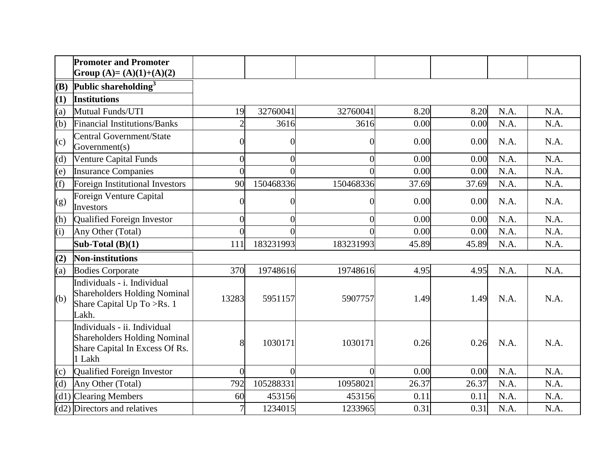|     | <b>Promoter and Promoter</b><br>Group (A)= (A)(1)+(A)(2)                                                        |                |                |           |       |       |      |      |
|-----|-----------------------------------------------------------------------------------------------------------------|----------------|----------------|-----------|-------|-------|------|------|
| (B) | Public shareholding <sup>3</sup>                                                                                |                |                |           |       |       |      |      |
| (1) | <b>Institutions</b>                                                                                             |                |                |           |       |       |      |      |
| (a) | Mutual Funds/UTI                                                                                                | 19             | 32760041       | 32760041  | 8.20  | 8.20  | N.A. | N.A. |
| (b) | <b>Financial Institutions/Banks</b>                                                                             | $\overline{2}$ | 3616           | 3616      | 0.00  | 0.00  | N.A. | N.A. |
| (c) | <b>Central Government/State</b><br>Government(s)                                                                | C              | $\overline{0}$ |           | 0.00  | 0.00  | N.A. | N.A. |
| (d) | <b>Venture Capital Funds</b>                                                                                    | $\overline{0}$ | $\Omega$       | 0         | 0.00  | 0.00  | N.A. | N.A. |
| (e) | <b>Insurance Companies</b>                                                                                      | $\sqrt{ }$     |                |           | 0.00  | 0.00  | N.A. | N.A. |
| (f) | Foreign Institutional Investors                                                                                 | 90             | 150468336      | 150468336 | 37.69 | 37.69 | N.A. | N.A. |
| (g) | Foreign Venture Capital<br>Investors                                                                            | 0              | 0              |           | 0.00  | 0.00  | N.A. | N.A. |
| (h) | Qualified Foreign Investor                                                                                      | $\overline{0}$ | $\theta$       |           | 0.00  | 0.00  | N.A. | N.A. |
| (i) | Any Other (Total)                                                                                               | $\overline{0}$ | $\Omega$       |           | 0.00  | 0.00  | N.A. | N.A. |
|     | Sub-Total $(B)(1)$                                                                                              | 111            | 183231993      | 183231993 | 45.89 | 45.89 | N.A. | N.A. |
| (2) | <b>Non-institutions</b>                                                                                         |                |                |           |       |       |      |      |
| (a) | <b>Bodies Corporate</b>                                                                                         | 370            | 19748616       | 19748616  | 4.95  | 4.95  | N.A. | N.A. |
| (b) | Individuals - i. Individual<br><b>Shareholders Holding Nominal</b><br>Share Capital Up To >Rs. 1<br>Lakh.       | 13283          | 5951157        | 5907757   | 1.49  | 1.49  | N.A. | N.A. |
|     | Individuals - ii. Individual<br><b>Shareholders Holding Nominal</b><br>Share Capital In Excess Of Rs.<br>1 Lakh | 8              | 1030171        | 1030171   | 0.26  | 0.26  | N.A. | N.A. |
| (c) | Qualified Foreign Investor                                                                                      | $\overline{0}$ | $\theta$       | $\theta$  | 0.00  | 0.00  | N.A. | N.A. |
| (d) | Any Other (Total)                                                                                               | 792            | 105288331      | 10958021  | 26.37 | 26.37 | N.A. | N.A. |
|     | $(d1)$ Clearing Members                                                                                         | 60             | 453156         | 453156    | 0.11  | 0.11  | N.A. | N.A. |
|     | $(d2)$ Directors and relatives                                                                                  | 7              | 1234015        | 1233965   | 0.31  | 0.31  | N.A. | N.A. |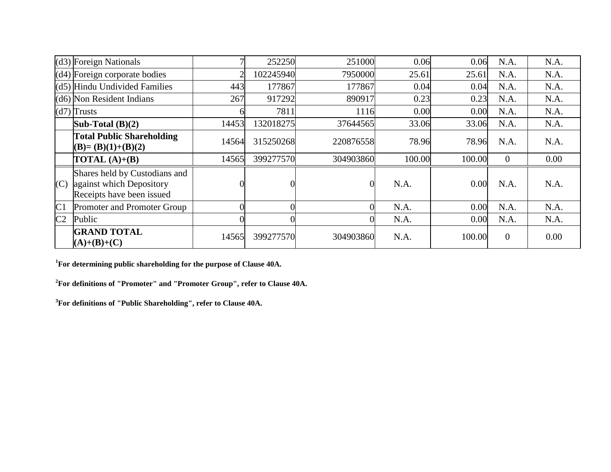|                | $(d3)$ Foreign Nationals                                                               |       | 252250    | 251000    | 0.06   | 0.06   | N.A.             | N.A. |
|----------------|----------------------------------------------------------------------------------------|-------|-----------|-----------|--------|--------|------------------|------|
|                | $(d4)$ Foreign corporate bodies                                                        | ◠     | 102245940 | 7950000   | 25.61  | 25.61  | N.A.             | N.A. |
|                | (d5) Hindu Undivided Families                                                          | 443   | 177867    | 177867    | 0.04   | 0.04   | N.A.             | N.A. |
|                | $(d6)$ Non Resident Indians                                                            | 267   | 917292    | 890917    | 0.23   | 0.23   | N.A.             | N.A. |
|                | $(d7)$ Trusts                                                                          |       | 7811      | 1116      | 0.00   | 0.00   | N.A.             | N.A. |
|                | Sub-Total $(B)(2)$                                                                     | 14453 | 132018275 | 37644565  | 33.06  | 33.06  | N.A.             | N.A. |
|                | <b>Total Public Shareholding</b><br>$(B)=(B)(1)+(B)(2)$                                | 14564 | 315250268 | 220876558 | 78.96  | 78.96  | N.A.             | N.A. |
|                | <b>TOTAL</b> $(A)+(B)$                                                                 | 14565 | 399277570 | 304903860 | 100.00 | 100.00 | $\theta$         | 0.00 |
| (C)            | Shares held by Custodians and<br>against which Depository<br>Receipts have been issued |       |           |           | N.A.   | 0.00   | N.A.             | N.A. |
| C <sub>1</sub> | Promoter and Promoter Group                                                            |       |           |           | N.A.   | 0.00   | N.A.             | N.A. |
| C <sub>2</sub> | Public                                                                                 |       |           |           | N.A.   | 0.00   | N.A.             | N.A. |
|                | <b>GRAND TOTAL</b><br>$(A)+(B)+(C)$                                                    | 14565 | 399277570 | 304903860 | N.A.   | 100.00 | $\boldsymbol{0}$ | 0.00 |

**<sup>1</sup>For determining public shareholding for the purpose of Clause 40A.**

**<sup>2</sup>For definitions of "Promoter" and "Promoter Group", refer to Clause 40A.**

**<sup>3</sup>For definitions of "Public Shareholding", refer to Clause 40A.**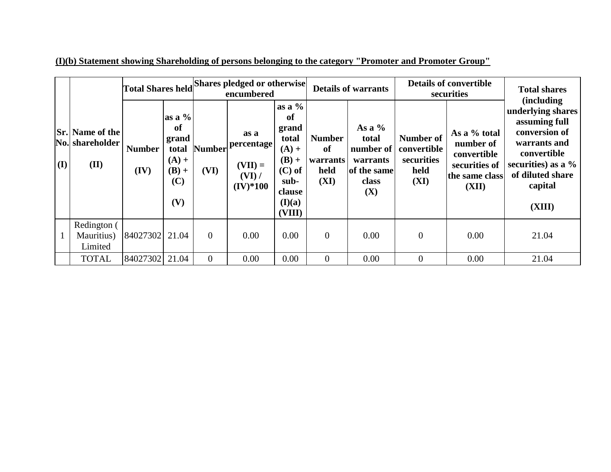|     |                                                   |                       |                                                                      | Total Shares held Shares pledged or otherwise<br>encumbered |                                                           |                                                                                                          | <b>Details of warrants</b>                      |                                                                           | <b>Details of convertible</b><br>securities            | <b>Total shares</b><br><i>(including)</i>                                            |                                                                                                                                                      |  |
|-----|---------------------------------------------------|-----------------------|----------------------------------------------------------------------|-------------------------------------------------------------|-----------------------------------------------------------|----------------------------------------------------------------------------------------------------------|-------------------------------------------------|---------------------------------------------------------------------------|--------------------------------------------------------|--------------------------------------------------------------------------------------|------------------------------------------------------------------------------------------------------------------------------------------------------|--|
| (I) | <b>Sr.</b> Name of the<br>No. shareholder<br>(II) | <b>Number</b><br>(IV) | as a $%$<br>of<br>grand<br>total<br>$(A) +$<br>$(B) +$<br>(C)<br>(V) | <b>Number</b><br>(VI)                                       | as a<br>percentage<br>$(VII) =$<br>$(VI)$ /<br>$(IV)*100$ | as a $%$<br>of<br>grand<br>total<br>$(A) +$<br>$(B) +$<br>$(C)$ of<br>sub-<br>clause<br>(I)(a)<br>(VIII) | <b>Number</b><br>of<br>warrants<br>held<br>(XI) | As a $%$<br>total<br>number of<br>warrants<br>of the same<br>class<br>(X) | Number of<br>convertible<br>securities<br>held<br>(XI) | As a % total<br>number of<br>convertible<br>securities of<br>the same class<br>(XII) | underlying shares<br>assuming full<br>conversion of<br>warrants and<br>convertible<br>securities) as a $\%$<br>of diluted share<br>capital<br>(XIII) |  |
|     | Redington (<br>Mauritius)<br>Limited              | 84027302 21.04        |                                                                      | $\overline{0}$                                              | 0.00                                                      | 0.00                                                                                                     | $\mathbf{0}$                                    | 0.00                                                                      | $\boldsymbol{0}$                                       | 0.00                                                                                 | 21.04                                                                                                                                                |  |
|     | <b>TOTAL</b>                                      | 84027302              | 21.04                                                                | $\theta$                                                    | 0.00                                                      | 0.00                                                                                                     | $\overline{0}$                                  | 0.00                                                                      | $\overline{0}$                                         | 0.00                                                                                 | 21.04                                                                                                                                                |  |

**(I)(b) Statement showing Shareholding of persons belonging to the category "Promoter and Promoter Group"**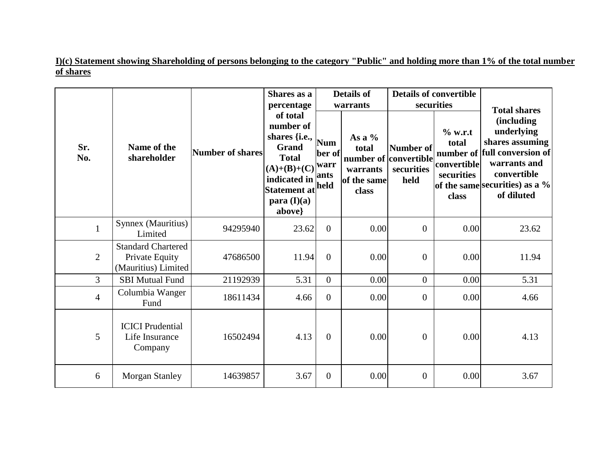**I)(c) Statement showing Shareholding of persons belonging to the category "Public" and holding more than 1% of the total number of shares**

|                |                                                                    |                  | Shares as a<br>percentage                                                                                                                                                     |                              | <b>Details of</b><br>warrants                         | securities                                               | <b>Details of convertible</b>                          |                                                                                                                                                                                           |
|----------------|--------------------------------------------------------------------|------------------|-------------------------------------------------------------------------------------------------------------------------------------------------------------------------------|------------------------------|-------------------------------------------------------|----------------------------------------------------------|--------------------------------------------------------|-------------------------------------------------------------------------------------------------------------------------------------------------------------------------------------------|
| Sr.<br>No.     | Name of the<br>shareholder                                         | Number of shares | of total<br>number of<br>shares $\{i.e.,\}$<br><b>Grand</b><br><b>Total</b><br>$(A)+(B)+(C)\big  \text{war}r$<br>indicated in<br>Statement at held<br>para $(I)(a)$<br>above} | <b>Num</b><br>ber of<br>ants | As a $%$<br>total<br>warrants<br>of the same<br>class | Number of<br>number of convertible<br>securities<br>held | % w.r.t<br>total<br>convertible<br>securities<br>class | <b>Total shares</b><br><i>(including)</i><br>underlying<br>shares assuming<br>number of full conversion of<br>warrants and<br>convertible<br>of the same securities) as a %<br>of diluted |
| $\mathbf{1}$   | Synnex (Mauritius)<br>Limited                                      | 94295940         | 23.62                                                                                                                                                                         | $\overline{0}$               | 0.00                                                  | $\overline{0}$                                           | 0.00                                                   | 23.62                                                                                                                                                                                     |
| $\overline{2}$ | <b>Standard Chartered</b><br>Private Equity<br>(Mauritius) Limited | 47686500         | 11.94                                                                                                                                                                         | $\overline{0}$               | 0.00                                                  | $\theta$                                                 | 0.00                                                   | 11.94                                                                                                                                                                                     |
| $\overline{3}$ | <b>SBI Mutual Fund</b>                                             | 21192939         | 5.31                                                                                                                                                                          | $\Omega$                     | 0.00                                                  | $\overline{0}$                                           | 0.00                                                   | 5.31                                                                                                                                                                                      |
| $\overline{4}$ | Columbia Wanger<br>Fund                                            | 18611434         | 4.66                                                                                                                                                                          | $\Omega$                     | 0.00                                                  | $\overline{0}$                                           | 0.00                                                   | 4.66                                                                                                                                                                                      |
| 5              | <b>ICICI</b> Prudential<br>Life Insurance<br>Company               | 16502494         | 4.13                                                                                                                                                                          | $\Omega$                     | 0.00                                                  | $\overline{0}$                                           | 0.00                                                   | 4.13                                                                                                                                                                                      |
| 6              | <b>Morgan Stanley</b>                                              | 14639857         | 3.67                                                                                                                                                                          | $\overline{0}$               | 0.00                                                  | $\theta$                                                 | 0.00                                                   | 3.67                                                                                                                                                                                      |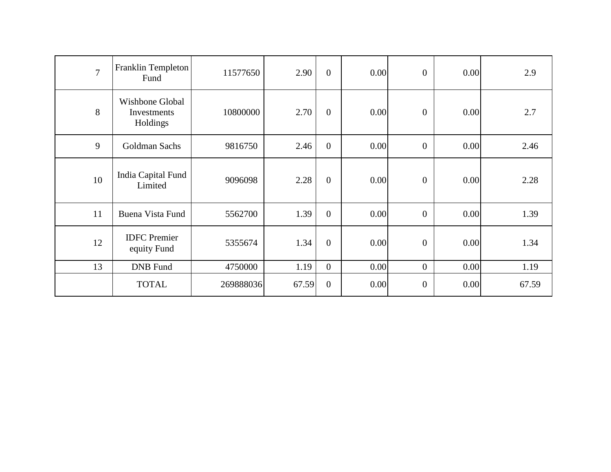| $\overline{7}$ | Franklin Templeton<br>Fund                 | 11577650  | 2.90  | $\overline{0}$ | 0.00 | $\mathbf{0}$   | 0.00 | 2.9   |
|----------------|--------------------------------------------|-----------|-------|----------------|------|----------------|------|-------|
| 8              | Wishbone Global<br>Investments<br>Holdings | 10800000  | 2.70  | $\overline{0}$ | 0.00 | $\mathbf{0}$   | 0.00 | 2.7   |
| 9              | Goldman Sachs                              | 9816750   | 2.46  | $\overline{0}$ | 0.00 | $\overline{0}$ | 0.00 | 2.46  |
| 10             | India Capital Fund<br>Limited              | 9096098   | 2.28  | $\overline{0}$ | 0.00 | $\overline{0}$ | 0.00 | 2.28  |
| 11             | <b>Buena Vista Fund</b>                    | 5562700   | 1.39  | $\overline{0}$ | 0.00 | $\overline{0}$ | 0.00 | 1.39  |
| 12             | <b>IDFC</b> Premier<br>equity Fund         | 5355674   | 1.34  | $\overline{0}$ | 0.00 | $\overline{0}$ | 0.00 | 1.34  |
| 13             | <b>DNB</b> Fund                            | 4750000   | 1.19  | $\overline{0}$ | 0.00 | $\mathbf{0}$   | 0.00 | 1.19  |
|                | <b>TOTAL</b>                               | 269888036 | 67.59 | $\overline{0}$ | 0.00 | $\overline{0}$ | 0.00 | 67.59 |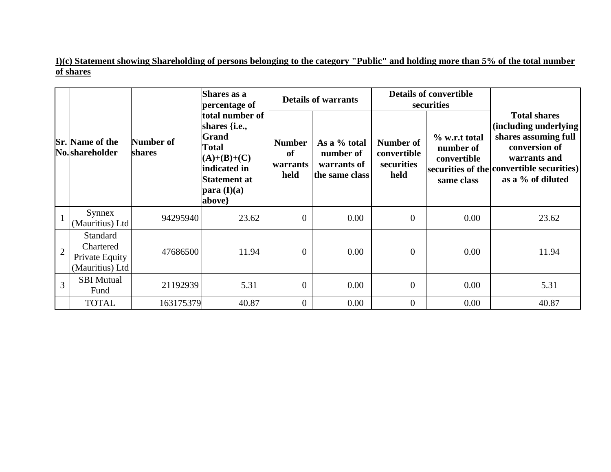**I)(c) Statement showing Shareholding of persons belonging to the category "Public" and holding more than 5% of the total number of shares**

|                |                                                            |                     | Shares as a<br>percentage of                                                                                                                                                    |                                         | <b>Details of warrants</b>                                 |                                                       | <b>Details of convertible</b><br>securities             |                                                                                                                                                                         |
|----------------|------------------------------------------------------------|---------------------|---------------------------------------------------------------------------------------------------------------------------------------------------------------------------------|-----------------------------------------|------------------------------------------------------------|-------------------------------------------------------|---------------------------------------------------------|-------------------------------------------------------------------------------------------------------------------------------------------------------------------------|
|                | <b>Sr.</b> Name of the<br>No.shareholder                   | Number of<br>shares | total number of<br>shares { <i>i.e.</i> ,<br>Grand<br><b>Total</b><br>$(A)+(B)+(C)$<br>indicated in<br><b>Statement at</b><br>$\mathbf{para}(\mathbf{I})(\mathbf{a})$<br>above} | <b>Number</b><br>of<br>warrants<br>held | As a % total<br>number of<br>warrants of<br>the same class | <b>Number of</b><br>convertible<br>securities<br>held | % w.r.t total<br>number of<br>convertible<br>same class | <b>Total shares</b><br>(including underlying<br>shares assuming full<br>conversion of<br>warrants and<br>securities of the convertible securities)<br>as a % of diluted |
|                | Synnex<br>(Mauritius) Ltd                                  | 94295940            | 23.62                                                                                                                                                                           | $\Omega$                                | 0.00                                                       | $\Omega$                                              | 0.00                                                    | 23.62                                                                                                                                                                   |
| $\overline{2}$ | Standard<br>Chartered<br>Private Equity<br>(Mauritius) Ltd | 47686500            | 11.94                                                                                                                                                                           | $\Omega$                                | 0.00                                                       | $\Omega$                                              | 0.00                                                    | 11.94                                                                                                                                                                   |
| $\overline{3}$ | <b>SBI</b> Mutual<br>Fund                                  | 21192939            | 5.31                                                                                                                                                                            | $\Omega$                                | 0.00                                                       | $\theta$                                              | 0.00                                                    | 5.31                                                                                                                                                                    |
|                | <b>TOTAL</b>                                               | 163175379           | 40.87                                                                                                                                                                           | $\overline{0}$                          | 0.00                                                       | $\overline{0}$                                        | 0.00                                                    | 40.87                                                                                                                                                                   |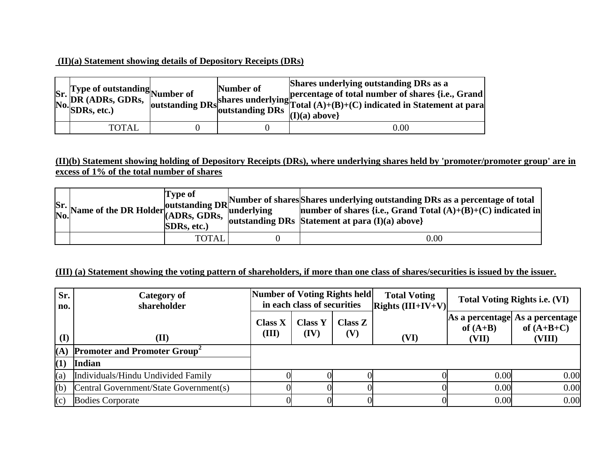## **(II)(a) Statement showing details of Depository Receipts (DRs)**

| Sr. Type of outstanding<br>No. DR (ADRs, GDRs, outstanding<br>No. SDRs, etc.) | Number of | Shares underlying outstanding DRs as a<br>shares underlying percentage of total number of shares {i.e., Grand shares underlying Total $(A)+(B)+(C)$ indicated in Statement at para<br>$(I)(a)$ above} |
|-------------------------------------------------------------------------------|-----------|-------------------------------------------------------------------------------------------------------------------------------------------------------------------------------------------------------|
| TOTAL                                                                         |           | 0.00                                                                                                                                                                                                  |

#### **(II)(b) Statement showing holding of Depository Receipts (DRs), where underlying shares held by 'promoter/promoter group' are in excess of 1% of the total number of shares**

|  | SDRs, etc.)  | Sr. Name of the DR Holder of SDRs, GDRs, $\left[\frac{1}{2}$ and $\frac{1}{2}$ and $\frac{1}{2}$ and $\frac{1}{2}$ and $\frac{1}{2}$ and $\frac{1}{2}$ and $\frac{1}{2}$ and $\frac{1}{2}$ and $\frac{1}{2}$ and $\frac{1}{2}$ and $\frac{1}{2}$ and $\frac{1}{2}$ and $\frac{1}{2}$<br>  outstanding DRs   Statement at para $(I)(a)$ above} |
|--|--------------|-----------------------------------------------------------------------------------------------------------------------------------------------------------------------------------------------------------------------------------------------------------------------------------------------------------------------------------------------|
|  | <b>TOTAL</b> | $0.00\,$                                                                                                                                                                                                                                                                                                                                      |

#### **(III) (a) Statement showing the voting pattern of shareholders, if more than one class of shares/securities is issued by the issuer.**

| Sr.<br>no.       | <b>Category of</b><br>shareholder               | Number of Voting Rights held<br>in each class of securities |                        |                       | <b>Total Voting</b><br>$\left $ Rights (III+IV+V) |                     | <b>Total Voting Rights i.e. (VI)</b>                       |
|------------------|-------------------------------------------------|-------------------------------------------------------------|------------------------|-----------------------|---------------------------------------------------|---------------------|------------------------------------------------------------|
| (I)              | (II)                                            | <b>Class X</b><br>(III)                                     | <b>Class Y</b><br>(IV) | <b>Class Z</b><br>(V) | (VI)                                              | of $(A+B)$<br>(VII) | As a percentage  As a percentage<br>of $(A+B+C)$<br>(VIII) |
| (A)              | <b>Promoter and Promoter Group</b> <sup>2</sup> |                                                             |                        |                       |                                                   |                     |                                                            |
| $\left(1\right)$ | <b>Indian</b>                                   |                                                             |                        |                       |                                                   |                     |                                                            |
| (a)              | Individuals/Hindu Undivided Family              |                                                             |                        |                       |                                                   | 0.00                | 0.00                                                       |
| (b)              | Central Government/State Government(s)          |                                                             |                        |                       |                                                   | 0.00                | 0.00                                                       |
| (c)              | <b>Bodies Corporate</b>                         |                                                             |                        |                       |                                                   | 0.00                | 0.00                                                       |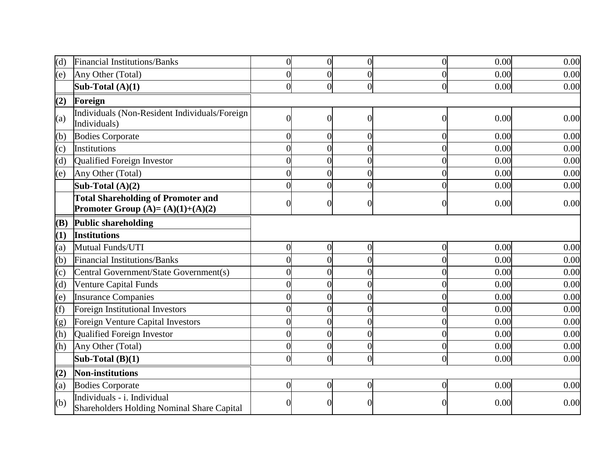| (d)        | Financial Institutions/Banks                                                    | $\overline{0}$   | $\overline{0}$ | $\overline{0}$   | $\overline{0}$ | 0.00 | 0.00 |
|------------|---------------------------------------------------------------------------------|------------------|----------------|------------------|----------------|------|------|
| (e)        | Any Other (Total)                                                               | $\overline{0}$   | 0              | $\theta$         | $\Omega$       | 0.00 | 0.00 |
|            | Sub-Total $(A)(1)$                                                              | $\overline{0}$   | $\overline{0}$ | $\overline{0}$   | $\overline{0}$ | 0.00 | 0.00 |
| (2)        | Foreign                                                                         |                  |                |                  |                |      |      |
| (a)        | Individuals (Non-Resident Individuals/Foreign<br>Individuals)                   | $\overline{0}$   | $\Omega$       | $\theta$         | $\Omega$       | 0.00 | 0.00 |
| (b)        | <b>Bodies Corporate</b>                                                         | $\overline{0}$   | $\overline{0}$ | $\overline{0}$   | $\overline{0}$ | 0.00 | 0.00 |
| (c)        | Institutions                                                                    | $\overline{0}$   | 0              | $\theta$         |                | 0.00 | 0.00 |
| (d)        | Qualified Foreign Investor                                                      | $\overline{0}$   | 0              | $\overline{0}$   | $\Omega$       | 0.00 | 0.00 |
| (e)        | Any Other (Total)                                                               | $\overline{0}$   | 0              | $\overline{0}$   |                | 0.00 | 0.00 |
|            | Sub-Total $(A)(2)$                                                              | $\overline{0}$   | 0              | $\overline{0}$   | $\theta$       | 0.00 | 0.00 |
|            | <b>Total Shareholding of Promoter and</b><br>Promoter Group $(A)=(A)(1)+(A)(2)$ | $\boldsymbol{0}$ | $\theta$       | $\overline{0}$   | $\Omega$       | 0.00 | 0.00 |
| <b>(B)</b> | <b>Public shareholding</b>                                                      |                  |                |                  |                |      |      |
| (1)        | <b>Institutions</b>                                                             |                  |                |                  |                |      |      |
| (a)        | Mutual Funds/UTI                                                                | $\boldsymbol{0}$ | $\overline{0}$ | $\boldsymbol{0}$ | $\overline{0}$ | 0.00 | 0.00 |
| (b)        | Financial Institutions/Banks                                                    | $\overline{0}$   | $\overline{0}$ | $\overline{0}$   | $\theta$       | 0.00 | 0.00 |
| (c)        | Central Government/State Government(s)                                          | $\overline{0}$   | 0              | $\theta$         | $\Omega$       | 0.00 | 0.00 |
| (d)        | Venture Capital Funds                                                           | $\overline{0}$   | 0              | $\Omega$         |                | 0.00 | 0.00 |
| (e)        | <b>Insurance Companies</b>                                                      | $\overline{0}$   | $\Omega$       | $\overline{0}$   | $\Omega$       | 0.00 | 0.00 |
| (f)        | Foreign Institutional Investors                                                 | $\overline{0}$   | $\theta$       | $\Omega$         | $\Omega$       | 0.00 | 0.00 |
| (g)        | Foreign Venture Capital Investors                                               | $\boldsymbol{0}$ | 0              | $\theta$         |                | 0.00 | 0.00 |
| (h)        | Qualified Foreign Investor                                                      | $\overline{0}$   | $\overline{0}$ | $\boldsymbol{0}$ | $\theta$       | 0.00 | 0.00 |
| (h)        | Any Other (Total)                                                               | $\overline{0}$   | $\overline{0}$ | $\overline{0}$   | $\overline{0}$ | 0.00 | 0.00 |
|            | Sub-Total $(B)(1)$                                                              | $\overline{0}$   | $\overline{0}$ | $\overline{0}$   | $\Omega$       | 0.00 | 0.00 |
| (2)        | Non-institutions                                                                |                  |                |                  |                |      |      |
| (a)        | <b>Bodies Corporate</b>                                                         | $\overline{0}$   | $\overline{0}$ | $\overline{0}$   | $\overline{0}$ | 0.00 | 0.00 |
| (b)        | Individuals - i. Individual<br>Shareholders Holding Nominal Share Capital       |                  |                | $\left($         |                | 0.00 | 0.00 |